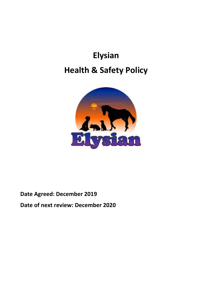# **Elysian Health & Safety Policy**



# **Date Agreed: December 2019**

**Date of next review: December 2020**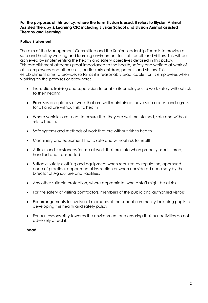# **For the purposes of this policy, where the term Elysian is used, it refers to Elysian Animal Assisted Therapy & Learning CIC including Elysian School and Elysian Animal assisted Therapy and Learning.**

# **Policy Statement**

The aim of the Management Committee and the Senior Leadership Team is to provide a safe and healthy working and learning environment for staff, pupils and visitors. This will be achieved by implementing the health and safety objectives detailed in this policy. This establishment attaches great importance to the health, safety and welfare at work of all its employees and other users, particularly children, parents and visitors. This establishment aims to provide, so far as it is reasonably practicable, for its employees when working on the premises or elsewhere:

- Instruction, training and supervision to enable its employees to work safely without risk to their health;
- Premises and places of work that are well maintained, have safe access and egress for all and are without risk to health
- Where vehicles are used, to ensure that they are well maintained, safe and without risk to health;
- Safe systems and methods of work that are without risk to health
- Machinery and equipment that is safe and without risk to health
- Articles and substances for use at work that are safe when properly used, stored, handled and transported
- Suitable safety clothing and equipment when required by regulation, approved code of practice, departmental instruction or when considered necessary by the Director of Agriculture and Facilities.
- Any other suitable protection, where appropriate, where staff might be at risk
- For the safety of visiting contractors, members of the public and authorised visitors
- For arrangements to involve all members of the school community including pupils in developing this health and safety policy.
- For our responsibility towards the environment and ensuring that our activities do not adversely affect it.

# **head**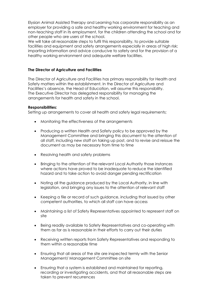Elysian Animal Assisted Therapy and Learning has corporate responsibility as an employer for providing a safe and healthy working environment for teaching and non-teaching staff in its employment, for the children attending the school and for other people who are users of the school.

We will take all reasonable steps to fulfil this responsibility, to provide suitable facilities and equipment and safety arrangements especially in areas of high risk; imparting information and advice conducive to safety and for the provision of a healthy working environment and adequate welfare facilities.

#### **The Director of Agriculture and Facilities**

The Director of Agriculture and Facilities has primary responsibility for Health and Safety matters within the establishment. In the Director of Agriculture and Facilities's absence, the Head of Education, will assume this responsibility. The Executive Director has delegated responsibility for managing the arrangements for health and safety in the school.

#### **Responsibilities:**

Setting up arrangements to cover all health and safety legal requirements;

- Monitoring the effectiveness of the arrangements
- Producing a written Health and Safety policy to be approved by the Management Committee and bringing this document to the attention of all staff, including new staff on taking up post, and to revise and reissue the document as may be necessary from time to time
- Resolving health and safety problems
- Bringing to the attention of the relevant Local Authority those instances where actions have proved to be inadequate to reduce the identified hazard and to take action to avoid danger pending rectification
- Noting all the guidance produced by the Local Authority, in line with legislation, and bringing any issues to the attention of relevant staff
- Keeping a file or record of such guidance, including that issued by other competent authorities, to which all staff can have access
- Maintaining a list of Safety Representatives appointed to represent staff on site
- Being readily available to Safety Representatives and co-operating with them as far as is reasonable in their efforts to carry out their duties
- Receiving written reports from Safety Representatives and responding to them within a reasonable time
- Ensuring that all areas of the site are inspected termly with the Senior Management/ Management Committee on site
- Ensuring that a system is established and maintained for reporting, recording or investigating accidents, and that all reasonable steps are taken to prevent recurrences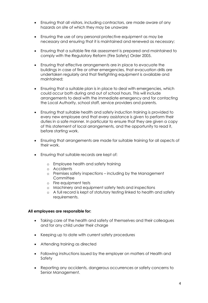- Ensuring that all visitors, including contractors, are made aware of any hazards on site of which they may be unaware
- Ensuring the use of any personal protective equipment as may be necessary and ensuring that it is maintained and renewed as necessary;
- Ensuring that a suitable fire risk assessment is prepared and maintained to comply with the Regulatory Reform (Fire Safety) Order 2005.
- Ensuring that effective arrangements are in place to evacuate the buildings in case of fire or other emergencies, that evacuation drills are undertaken regularly and that firefighting equipment is available and maintained;
- Ensuring that a suitable plan is in place to deal with emergencies, which could occur both during and out of school hours. This will include arrangements to deal with the immediate emergency and for contacting the Local Authority, school staff, service providers and parents.
- Ensuring that suitable health and safety induction training is provided to every new employee and that every assistance is given to perform their duties in a safe manner. In particular to ensure that they are given a copy of this statement of local arrangements, and the opportunity to read it, before starting work.
- Ensuring that arrangements are made for suitable training for all aspects of their work.
- Ensuring that suitable records are kept of:
	- o Employee health and safety training
	- o Accidents
	- o Premises safety inspections including by the Management **Committee**
	- o Fire equipment tests
	- o Machinery and equipment safety tests and inspections
	- o A full record is kept of statutory testing linked to health and safety requirements.

#### **All employees are responsible for:**

- Taking care of the health and safety of themselves and their colleagues and for any child under their charge
- Keeping up to date with current safety procedures
- Attending training as directed
- Following instructions issued by the employer on matters of Health and Safety
- Reporting any accidents, dangerous occurrences or safety concerns to Senior Management.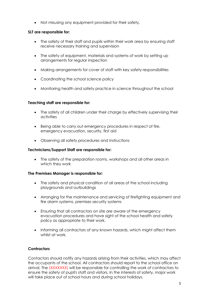• Not misusing any equipment provided for their safety.

# **SLT are responsible for:**

- The safety of their staff and pupils within their work area by ensuring staff receive necessary training and supervision
- The safety of equipment, materials and systems of work by setting up arrangements for regular inspection
- Making arrangements for cover of staff with key safety responsibilities
- Coordinating the school science policy
- Monitoring health and safety practice in science throughout the school

# **Teaching staff are responsible for:**

- The safety of all children under their charge by effectively supervising their activities
- Being able to carry out emergency procedures in respect of fire, emergency evacuation, security, first aid
- Observing all safety procedures and instructions

#### **Technicians/Support Staff are responsible for:**

• The safety of the preparation rooms, workshops and all other areas in which they work

#### **The Premises Manager is responsible for:**

- The safety and physical condition of all areas of the school including playgrounds and outbuildings
- Arranging for the maintenance and servicing of firefighting equipment and fire alarm systems, premises security systems
- Ensuring that all contractors on site are aware of the emergency evacuation procedures and have sight of the school health and safety policy as appropriate to their work.
- Informing all contractors of any known hazards, which might affect them whilst at work.

# **Contractors**

Contactors should notify any hazards arising from their activities, which may affect the occupants of the school. All contractors should report to the school office on arrival. The (XXXXXXX) will be responsible for controlling the work of contractors to ensure the safety of pupil's staff and visitors. In the interests of safety, major work will take place out of school hours and during school holidays.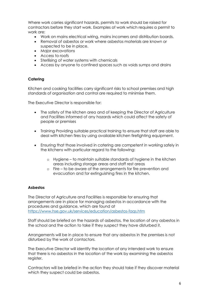Where work carries significant hazards, permits to work should be raised for contractors before they start work. Examples of work which requires a permit to work are:

- Work on mains electrical wiring, mains incomers and distribution boards.
- Removal of asbestos or work where asbestos materials are known or suspected to be in place.
- Major excavations
- Access to roofs
- Sterilising of water systems with chemicals
- Access by anyone to confined spaces such as voids sumps and drains

#### **Catering**

Kitchen and cooking facilities carry significant risks to school premises and high standards of organisation and control are required to minimise them.

The Executive Director is responsible for:

- The safety of the kitchen area and of keeping the Director of Agriculture and Facilities informed of any hazards which could affect the safety of people or premises
- Training Providing suitable practical training to ensure that staff are able to deal with kitchen fires by using available kitchen firefighting equipment.
- Ensuring that those involved in catering are competent in working safely in the kitchens with particular regard to the following:
	- o Hygiene to maintain suitable standards of hygiene in the kitchen areas including storage areas and staff rest areas
	- o Fire to be aware of the arrangements for fire prevention and evacuation and for extinguishing fires in the kitchen.

#### **Asbestos**

The Director of Agriculture and Facilities is responsible for ensuring that arrangements are in place for managing asbestos in accordance with the procedures and guidance, which are found at <https://www.hse.gov.uk/services/education/asbestos-faqs.htm>

Staff should be briefed on the hazards of asbestos, the location of any asbestos in the school and the action to take if they suspect they have disturbed it.

Arrangements will be in place to ensure that any asbestos in the premises is not disturbed by the work of contactors.

The Executive Director will identify the location of any intended work to ensure that there is no asbestos in the location of the work by examining the asbestos register.

Contractors will be briefed in the action they should take if they discover material which they suspect could be asbestos.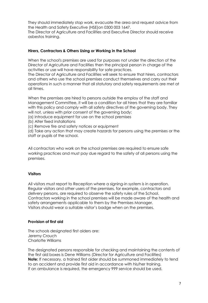They should immediately stop work, evacuate the area and request advice from the Health and Safety Executive (HSE)on 0300 003 1647.

The Director of Agriculture and Facilities and Executive Director should receive asbestos training.

#### **Hirers, Contractors & Others Using or Working in the School**

When the school's premises are used for purposes not under the direction of the Director of Agriculture and Facilities then the principal person in charge of the activities or use will have responsibility for safe practices.

The Director of Agriculture and Facilities will seek to ensure that hirers, contractors and others who use the school premises conduct themselves and carry out their operations in such a manner that all statutory and safety requirements are met at all times.

When the premises are hired to persons outside the employ of the staff and Management Committee, it will be a condition for all hirers that they are familiar with this policy and comply with all safety directives of the governing body. They will not, unless with prior consent of the governing body:

(a) Introduce equipment for use on the school premises

(b) Alter fixed installations

(c) Remove fire and safety notices or equipment

(d) Take any action that may create hazards for persons using the premises or the staff or pupils of the school.

All contractors who work on the school premises are required to ensure safe working practices and must pay due regard to the safety of all persons using the premises.

#### **Visitors**

All visitors must report to Reception where a signing-in system is in operation. Regular visitors and other users of the premises, for example, contractors and delivery persons, are required to observe the safety rules of the School. Contractors working in the school premises will be made aware of the health and safety arrangements applicable to them by the Premises Manager. Visitors should wear a suitable visitor's badge when on the premises.

#### **Provision of first aid**

The schools designated first aiders are: Jeremy Crouch Charlotte Williams

The designated persons responsible for checking and maintaining the contents of the first aid boxes is Dene Williams (Director for Agriculture and Facilities) **Note:** If necessary, a trained first aider should be summoned immediately to tend to an accident and provide first aid in accordance with his/her training. If an ambulance is required, the emergency 999 service should be used.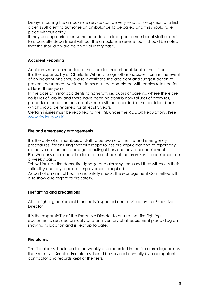Delays in calling the ambulance service can be very serious. The opinion of a first aider is sufficient to authorize an ambulance to be called and this should take place without delay.

It may be appropriate on some occasions to transport a member of staff or pupil to a casualty department without the ambulance service, but it should be noted that this should always be on a voluntary basis.

# **Accident Reporting**

Accidents must be reported in the accident report book kept in the office. It is the responsibility of Charlotte Williams to sign off an accident form in the event of an incident. She should also investigate the accident and suggest action to prevent recurrence. Accident forms must be completed with copies retained for at least three years.

In the case of minor accidents to non-staff, i.e. pupils or parents, where there are no issues of liability and there have been no contributory failures of premises, procedures or equipment, details should still be recorded in the accident book which should be retained for at least 3 years.

Certain injuries must be reported to the HSE under the RIDDOR Regulations. (See [www.riddor.gov.uk\)](http://www.riddor.gov.uk/)

#### **Fire and emergency arrangements**

It is the duty of all members of staff to be aware of the fire and emergency procedures, for ensuring that all escape routes are kept clear and to report any defective equipment, damage to extinguishers and any other equipment. Fire Wardens are responsible for a formal check of the premises fire equipment on a weekly basis.

This will include fire doors, fire signage and alarm systems and they will assess their suitability and any repairs or improvements required.

As part of an annual health and safety check, the Management Committee will also show due regard to fire safety.

#### **Firefighting and precautions**

All fire-fighting equipment is annually inspected and serviced by the Executive **Director** 

It is the responsibility of the Executive Director to ensure that fire-fighting equipment is serviced annually and an inventory of all equipment plus a diagram showing its location and is kept up to date.

#### **Fire alarms**

The fire alarms should be tested weekly and recorded in the fire alarm logbook by the Executive Director. Fire alarms should be serviced annually by a competent contractor and records kept of the tests.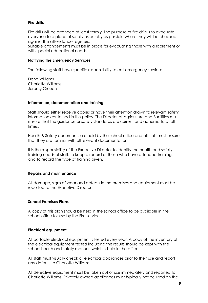#### **Fire drills**

Fire drills will be arranged at least termly. The purpose of fire drills is to evacuate everyone to a place of safety as quickly as possible where they will be checked against the attendance registers.

Suitable arrangements must be in place for evacuating those with disablement or with special educational needs.

#### **Notifying the Emergency Services**

The following staff have specific responsibility to call emergency services:

Dene Williams Charlotte Williams Jeremy Crouch

#### **Information, documentation and training**

Staff should either receive copies or have their attention drawn to relevant safety information contained in this policy. The Director of Agriculture and Facilities must ensure that the guidance or safety standards are current and adhered to at all times.

Health & Safety documents are held by the school office and all staff must ensure that they are familiar with all relevant documentation.

It is the responsibility of the Executive Director to identify the health and safety training needs of staff, to keep a record of those who have attended training, and to record the type of training given.

#### **Repairs and maintenance**

All damage, signs of wear and defects in the premises and equipment must be reported to the Executive Director

#### **School Premises Plans**

A copy of this plan should be held in the school office to be available in the school office for use by the Fire service.

#### **Electrical equipment**

All portable electrical equipment is tested every year. A copy of the inventory of the electrical equipment tested including the results should be kept with the school health and safety manual, which is held in the office.

All staff must visually check all electrical appliances prior to their use and report any defects to Charlotte Williams

All defective equipment must be taken out of use immediately and reported to Charlotte Williams. Privately owned appliances must typically not be used on the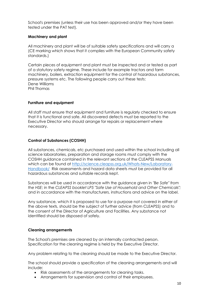School's premises (unless their use has been approved and/or they have been tested under the PAT test).

#### **Machinery and plant**

All machinery and plant will be of suitable safety specifications and will carry a (CE marking which shows that it complies with the European Community safety standards.)

Certain pieces of equipment and plant must be inspected and or tested as part of a statutory safety regime. These include for example tractors and farm machinery, boilers, extraction equipment for the control of hazardous substances, pressure systems etc. The following people carry out these tests: Dene Williams Phil Thomas

# **Furniture and equipment**

All staff must ensure that equipment and furniture is regularly checked to ensure that it is functional and safe. All discovered defects must be reported to the Executive Director who should arrange for repairs or replacement where necessary.

# **Control of Substances (COSHH)**

All substances, chemicals, etc purchased and used within the school including all science laboratories, preparation and storage rooms must comply with the COSHH guidance contained in the relevant sections of the CLEAPSS Manuals which can be found at [http://science.cleapss.org.uk/Whats-New/Laboratory-](http://science.cleapss.org.uk/Whats-New/Laboratory-Handbook/)[Handbook/](http://science.cleapss.org.uk/Whats-New/Laboratory-Handbook/) Risk assessments and hazard data sheets must be provided for all hazardous substances and suitable records kept.

Substances will be used in accordance with the guidance given in *"Be Safe" from the HSE*; in the *CLEAPSS booklet LP5 "Safe Use of Household and Other Chemicals";*  and in accordance with the manufacturers, instructions and advice on the label.

Any substance, which it is proposed to use for a purpose not covered in either of the above texts, should be the subject of further advice (from CLEAPSS) and to the consent of the Director of Agriculture and Facilities. Any substance not identified should be disposed of safely.

#### **Cleaning arrangements**

The School's premises are cleaned by an internally contracted person. Specification for the cleaning regime is held by the Executive Director.

Any problem relating to the cleaning should be made to the Executive Director.

The school should provide a specification of the cleaning arrangements and will include:

- Risk assessments of the arrangements for cleaning tasks.
- Arrangements for supervision and control of their employees.